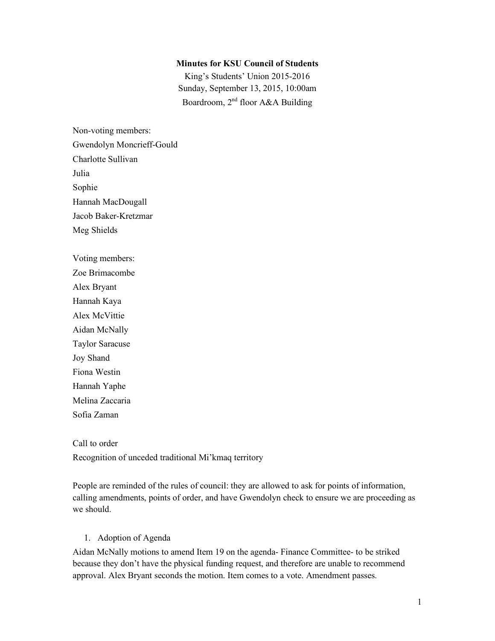#### **Minutes for KSU Council of Students**

King's Students' Union 2015-2016 Sunday, September 13, 2015, 10:00am Boardroom, 2nd floor A&A Building

Non-voting members: Gwendolyn Moncrieff-Gould Charlotte Sullivan Julia Sophie Hannah MacDougall Jacob Baker-Kretzmar Meg Shields

Voting members: Zoe Brimacombe Alex Bryant Hannah Kaya Alex McVittie Aidan McNally Taylor Saracuse Joy Shand Fiona Westin Hannah Yaphe Melina Zaccaria Sofia Zaman

Call to order Recognition of unceded traditional Mi'kmaq territory

People are reminded of the rules of council: they are allowed to ask for points of information, calling amendments, points of order, and have Gwendolyn check to ensure we are proceeding as we should.

#### 1. Adoption of Agenda

Aidan McNally motions to amend Item 19 on the agenda- Finance Committee- to be striked because they don't have the physical funding request, and therefore are unable to recommend approval. Alex Bryant seconds the motion. Item comes to a vote. Amendment passes.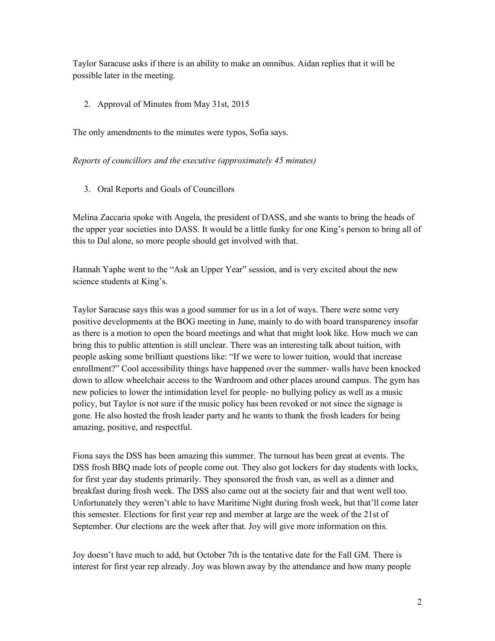Taylor Saracuse asks if there is an ability to make an omnibus. Aidan replies that it will be possible later in the meeting.

2. Approval of Minutes from May 31st, 2015

The only amendments to the minutes were typos, Sofia says.

*Reports of councillors and the executive (approximately 45 minutes)*

3. Oral Reports and Goals of Councillors

Melina Zaccaria spoke with Angela, the president of DASS, and she wants to bring the heads of the upper year societies into DASS. It would be a little funky for one King's person to bring all of this to Dal alone, so more people should get involved with that.

Hannah Yaphe went to the "Ask an Upper Year" session, and is very excited about the new science students at King's.

Taylor Saracuse says this was a good summer for us in a lot of ways. There were some very positive developments at the BOG meeting in June, mainly to do with board transparency insofar as there is a motion to open the board meetings and what that might look like. How much we can bring this to public attention is still unclear. There was an interesting talk about tuition, with people asking some brilliant questions like: "If we were to lower tuition, would that increase enrollment?" Cool accessibility things have happened over the summer- walls have been knocked down to allow wheelchair access to the Wardroom and other places around campus. The gym has new policies to lower the intimidation level for people- no bullying policy as well as a music policy, but Taylor is not sure if the music policy has been revoked or not since the signage is gone. He also hosted the frosh leader party and he wants to thank the frosh leaders for being amazing, positive, and respectful.

Fiona says the DSS has been amazing this summer. The turnout has been great at events. The DSS frosh BBQ made lots of people come out. They also got lockers for day students with locks, for first year day students primarily. They sponsored the frosh van, as well as a dinner and breakfast during frosh week. The DSS also came out at the society fair and that went well too. Unfortunately they weren't able to have Maritime Night during frosh week, but that'll come later this semester. Elections for first year rep and member at large are the week of the 21st of September. Our elections are the week after that. Joy will give more information on this.

Joy doesn't have much to add, but October 7th is the tentative date for the Fall GM. There is interest for first year rep already. Joy was blown away by the attendance and how many people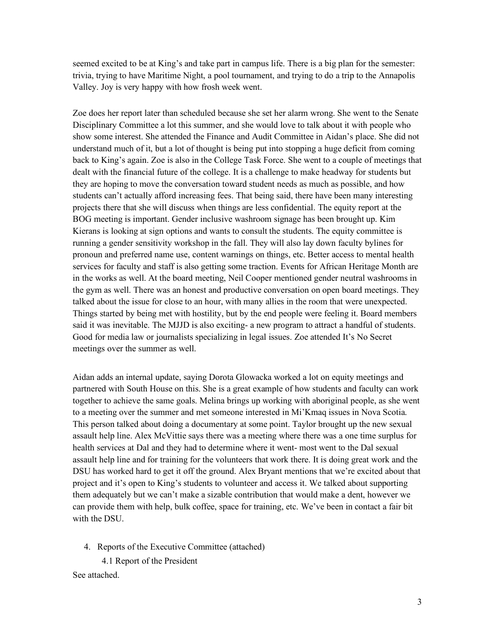seemed excited to be at King's and take part in campus life. There is a big plan for the semester: trivia, trying to have Maritime Night, a pool tournament, and trying to do a trip to the Annapolis Valley. Joy is very happy with how frosh week went.

Zoe does her report later than scheduled because she set her alarm wrong. She went to the Senate Disciplinary Committee a lot this summer, and she would love to talk about it with people who show some interest. She attended the Finance and Audit Committee in Aidan's place. She did not understand much of it, but a lot of thought is being put into stopping a huge deficit from coming back to King's again. Zoe is also in the College Task Force. She went to a couple of meetings that dealt with the financial future of the college. It is a challenge to make headway for students but they are hoping to move the conversation toward student needs as much as possible, and how students can't actually afford increasing fees. That being said, there have been many interesting projects there that she will discuss when things are less confidential. The equity report at the BOG meeting is important. Gender inclusive washroom signage has been brought up. Kim Kierans is looking at sign options and wants to consult the students. The equity committee is running a gender sensitivity workshop in the fall. They will also lay down faculty bylines for pronoun and preferred name use, content warnings on things, etc. Better access to mental health services for faculty and staff is also getting some traction. Events for African Heritage Month are in the works as well. At the board meeting, Neil Cooper mentioned gender neutral washrooms in the gym as well. There was an honest and productive conversation on open board meetings. They talked about the issue for close to an hour, with many allies in the room that were unexpected. Things started by being met with hostility, but by the end people were feeling it. Board members said it was inevitable. The MJJD is also exciting- a new program to attract a handful of students. Good for media law or journalists specializing in legal issues. Zoe attended It's No Secret meetings over the summer as well.

Aidan adds an internal update, saying Dorota Glowacka worked a lot on equity meetings and partnered with South House on this. She is a great example of how students and faculty can work together to achieve the same goals. Melina brings up working with aboriginal people, as she went to a meeting over the summer and met someone interested in Mi'Kmaq issues in Nova Scotia. This person talked about doing a documentary at some point. Taylor brought up the new sexual assault help line. Alex McVittie says there was a meeting where there was a one time surplus for health services at Dal and they had to determine where it went- most went to the Dal sexual assault help line and for training for the volunteers that work there. It is doing great work and the DSU has worked hard to get it off the ground. Alex Bryant mentions that we're excited about that project and it's open to King's students to volunteer and access it. We talked about supporting them adequately but we can't make a sizable contribution that would make a dent, however we can provide them with help, bulk coffee, space for training, etc. We've been in contact a fair bit with the DSU.

4. Reports of the Executive Committee (attached)

 4.1 Report of the President See attached.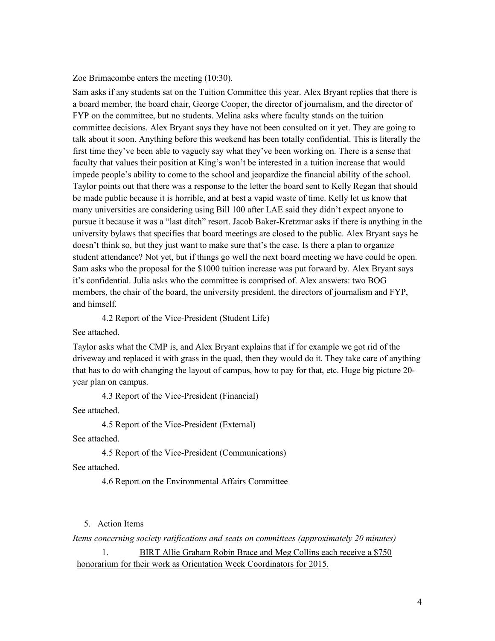Zoe Brimacombe enters the meeting (10:30).

Sam asks if any students sat on the Tuition Committee this year. Alex Bryant replies that there is a board member, the board chair, George Cooper, the director of journalism, and the director of FYP on the committee, but no students. Melina asks where faculty stands on the tuition committee decisions. Alex Bryant says they have not been consulted on it yet. They are going to talk about it soon. Anything before this weekend has been totally confidential. This is literally the first time they've been able to vaguely say what they've been working on. There is a sense that faculty that values their position at King's won't be interested in a tuition increase that would impede people's ability to come to the school and jeopardize the financial ability of the school. Taylor points out that there was a response to the letter the board sent to Kelly Regan that should be made public because it is horrible, and at best a vapid waste of time. Kelly let us know that many universities are considering using Bill 100 after LAE said they didn't expect anyone to pursue it because it was a "last ditch" resort. Jacob Baker-Kretzmar asks if there is anything in the university bylaws that specifies that board meetings are closed to the public. Alex Bryant says he doesn't think so, but they just want to make sure that's the case. Is there a plan to organize student attendance? Not yet, but if things go well the next board meeting we have could be open. Sam asks who the proposal for the \$1000 tuition increase was put forward by. Alex Bryant says it's confidential. Julia asks who the committee is comprised of. Alex answers: two BOG members, the chair of the board, the university president, the directors of journalism and FYP, and himself.

4.2 Report of the Vice-President (Student Life)

See attached.

Taylor asks what the CMP is, and Alex Bryant explains that if for example we got rid of the driveway and replaced it with grass in the quad, then they would do it. They take care of anything that has to do with changing the layout of campus, how to pay for that, etc. Huge big picture 20 year plan on campus.

4.3 Report of the Vice-President (Financial)

See attached.

4.5 Report of the Vice-President (External)

See attached.

4.5 Report of the Vice-President (Communications)

See attached.

4.6 Report on the Environmental Affairs Committee

5. Action Items

*Items concerning society ratifications and seats on committees (approximately 20 minutes)*

1. BIRT Allie Graham Robin Brace and Meg Collins each receive a \$750 honorarium for their work as Orientation Week Coordinators for 2015.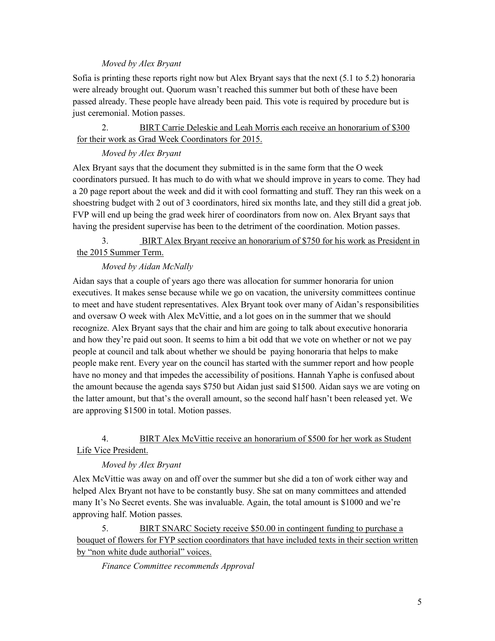#### *Moved by Alex Bryant*

Sofia is printing these reports right now but Alex Bryant says that the next (5.1 to 5.2) honoraria were already brought out. Quorum wasn't reached this summer but both of these have been passed already. These people have already been paid. This vote is required by procedure but is just ceremonial. Motion passes.

2. BIRT Carrie Deleskie and Leah Morris each receive an honorarium of \$300 for their work as Grad Week Coordinators for 2015.

## *Moved by Alex Bryant*

Alex Bryant says that the document they submitted is in the same form that the O week coordinators pursued. It has much to do with what we should improve in years to come. They had a 20 page report about the week and did it with cool formatting and stuff. They ran this week on a shoestring budget with 2 out of 3 coordinators, hired six months late, and they still did a great job. FVP will end up being the grad week hirer of coordinators from now on. Alex Bryant says that having the president supervise has been to the detriment of the coordination. Motion passes.

# 3. BIRT Alex Bryant receive an honorarium of \$750 for his work as President in the 2015 Summer Term.

## *Moved by Aidan McNally*

Aidan says that a couple of years ago there was allocation for summer honoraria for union executives. It makes sense because while we go on vacation, the university committees continue to meet and have student representatives. Alex Bryant took over many of Aidan's responsibilities and oversaw O week with Alex McVittie, and a lot goes on in the summer that we should recognize. Alex Bryant says that the chair and him are going to talk about executive honoraria and how they're paid out soon. It seems to him a bit odd that we vote on whether or not we pay people at council and talk about whether we should be paying honoraria that helps to make people make rent. Every year on the council has started with the summer report and how people have no money and that impedes the accessibility of positions. Hannah Yaphe is confused about the amount because the agenda says \$750 but Aidan just said \$1500. Aidan says we are voting on the latter amount, but that's the overall amount, so the second half hasn't been released yet. We are approving \$1500 in total. Motion passes.

## 4. BIRT Alex McVittie receive an honorarium of \$500 for her work as Student Life Vice President.

## *Moved by Alex Bryant*

Alex McVittie was away on and off over the summer but she did a ton of work either way and helped Alex Bryant not have to be constantly busy. She sat on many committees and attended many It's No Secret events. She was invaluable. Again, the total amount is \$1000 and we're approving half. Motion passes.

5. BIRT SNARC Society receive \$50.00 in contingent funding to purchase a bouquet of flowers for FYP section coordinators that have included texts in their section written by "non white dude authorial" voices.

 *Finance Committee recommends Approval*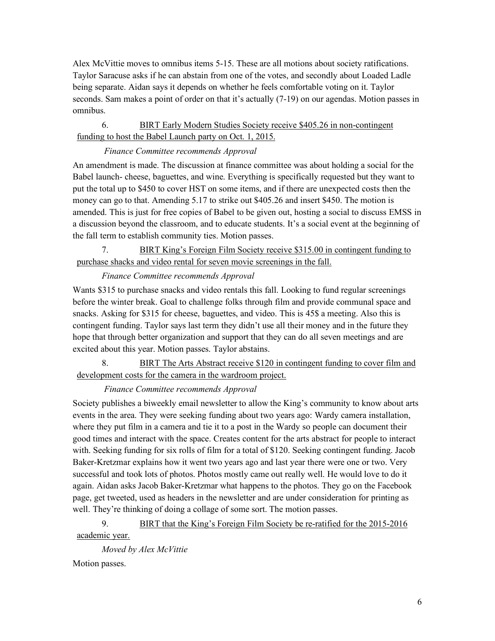Alex McVittie moves to omnibus items 5-15. These are all motions about society ratifications. Taylor Saracuse asks if he can abstain from one of the votes, and secondly about Loaded Ladle being separate. Aidan says it depends on whether he feels comfortable voting on it. Taylor seconds. Sam makes a point of order on that it's actually (7-19) on our agendas. Motion passes in omnibus.

## 6. BIRT Early Modern Studies Society receive \$405.26 in non-contingent funding to host the Babel Launch party on Oct. 1, 2015.

## *Finance Committee recommends Approval*

An amendment is made. The discussion at finance committee was about holding a social for the Babel launch- cheese, baguettes, and wine. Everything is specifically requested but they want to put the total up to \$450 to cover HST on some items, and if there are unexpected costs then the money can go to that. Amending 5.17 to strike out \$405.26 and insert \$450. The motion is amended. This is just for free copies of Babel to be given out, hosting a social to discuss EMSS in a discussion beyond the classroom, and to educate students. It's a social event at the beginning of the fall term to establish community ties. Motion passes.

# 7. BIRT King's Foreign Film Society receive \$315.00 in contingent funding to purchase shacks and video rental for seven movie screenings in the fall.

# *Finance Committee recommends Approval*

Wants \$315 to purchase snacks and video rentals this fall. Looking to fund regular screenings before the winter break. Goal to challenge folks through film and provide communal space and snacks. Asking for \$315 for cheese, baguettes, and video. This is 45\$ a meeting. Also this is contingent funding. Taylor says last term they didn't use all their money and in the future they hope that through better organization and support that they can do all seven meetings and are excited about this year. Motion passes. Taylor abstains.

8. BIRT The Arts Abstract receive \$120 in contingent funding to cover film and development costs for the camera in the wardroom project.

## *Finance Committee recommends Approval*

Society publishes a biweekly email newsletter to allow the King's community to know about arts events in the area. They were seeking funding about two years ago: Wardy camera installation, where they put film in a camera and tie it to a post in the Wardy so people can document their good times and interact with the space. Creates content for the arts abstract for people to interact with. Seeking funding for six rolls of film for a total of \$120. Seeking contingent funding. Jacob Baker-Kretzmar explains how it went two years ago and last year there were one or two. Very successful and took lots of photos. Photos mostly came out really well. He would love to do it again. Aidan asks Jacob Baker-Kretzmar what happens to the photos. They go on the Facebook page, get tweeted, used as headers in the newsletter and are under consideration for printing as well. They're thinking of doing a collage of some sort. The motion passes.

9. BIRT that the King's Foreign Film Society be re-ratified for the 2015-2016 academic year.

 *Moved by Alex McVittie* Motion passes.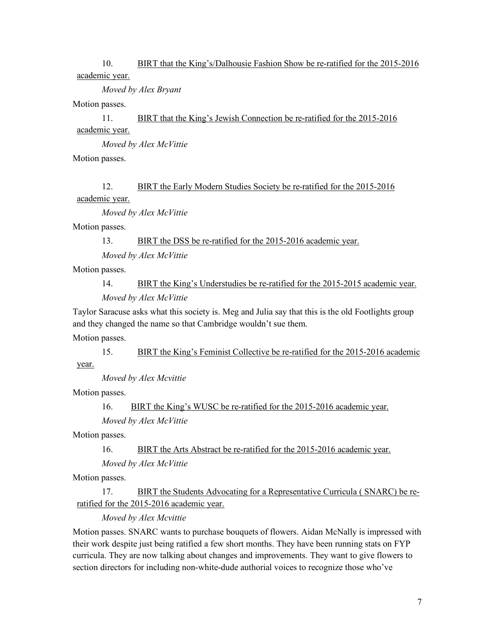### 10. BIRT that the King's/Dalhousie Fashion Show be re-ratified for the 2015-2016 academic year.

*Moved by Alex Bryant*

Motion passes.

11. BIRT that the King's Jewish Connection be re-ratified for the 2015-2016 academic year.

*Moved by Alex McVittie*

Motion passes.

# 12. BIRT the Early Modern Studies Society be re-ratified for the 2015-2016

academic year.

*Moved by Alex McVittie*

Motion passes.

13. BIRT the DSS be re-ratified for the 2015-2016 academic year.

*Moved by Alex McVittie*

Motion passes.

14. BIRT the King's Understudies be re-ratified for the 2015-2015 academic year.

*Moved by Alex McVittie*

Taylor Saracuse asks what this society is. Meg and Julia say that this is the old Footlights group and they changed the name so that Cambridge wouldn't sue them.

Motion passes.

15. BIRT the King's Feminist Collective be re-ratified for the 2015-2016 academic year.

*Moved by Alex Mcvittie*

Motion passes.

16. BIRT the King's WUSC be re-ratified for the 2015-2016 academic year.

*Moved by Alex McVittie*

Motion passes.

16. BIRT the Arts Abstract be re-ratified for the 2015-2016 academic year.

*Moved by Alex McVittie*

Motion passes.

17. BIRT the Students Advocating for a Representative Curricula ( SNARC) be reratified for the 2015-2016 academic year.

*Moved by Alex Mcvittie*

Motion passes. SNARC wants to purchase bouquets of flowers. Aidan McNally is impressed with their work despite just being ratified a few short months. They have been running stats on FYP curricula. They are now talking about changes and improvements. They want to give flowers to section directors for including non-white-dude authorial voices to recognize those who've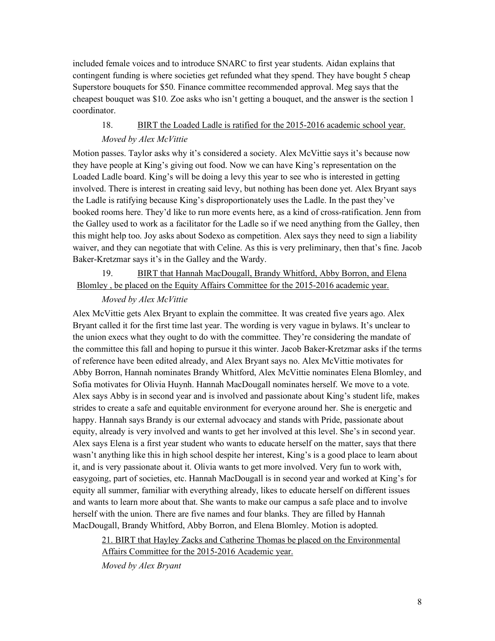included female voices and to introduce SNARC to first year students. Aidan explains that contingent funding is where societies get refunded what they spend. They have bought 5 cheap Superstore bouquets for \$50. Finance committee recommended approval. Meg says that the cheapest bouquet was \$10. Zoe asks who isn't getting a bouquet, and the answer is the section 1 coordinator.

# 18. BIRT the Loaded Ladle is ratified for the 2015-2016 academic school year. *Moved by Alex McVittie*

Motion passes. Taylor asks why it's considered a society. Alex McVittie says it's because now they have people at King's giving out food. Now we can have King's representation on the Loaded Ladle board. King's will be doing a levy this year to see who is interested in getting involved. There is interest in creating said levy, but nothing has been done yet. Alex Bryant says the Ladle is ratifying because King's disproportionately uses the Ladle. In the past they've booked rooms here. They'd like to run more events here, as a kind of cross-ratification. Jenn from the Galley used to work as a facilitator for the Ladle so if we need anything from the Galley, then this might help too. Joy asks about Sodexo as competition. Alex says they need to sign a liability waiver, and they can negotiate that with Celine. As this is very preliminary, then that's fine. Jacob Baker-Kretzmar says it's in the Galley and the Wardy.

## 19. BIRT that Hannah MacDougall, Brandy Whitford, Abby Borron, and Elena Blomley , be placed on the Equity Affairs Committee for the 2015-2016 academic year.

#### *Moved by Alex McVittie*

Alex McVittie gets Alex Bryant to explain the committee. It was created five years ago. Alex Bryant called it for the first time last year. The wording is very vague in bylaws. It's unclear to the union execs what they ought to do with the committee. They're considering the mandate of the committee this fall and hoping to pursue it this winter. Jacob Baker-Kretzmar asks if the terms of reference have been edited already, and Alex Bryant says no. Alex McVittie motivates for Abby Borron, Hannah nominates Brandy Whitford, Alex McVittie nominates Elena Blomley, and Sofia motivates for Olivia Huynh. Hannah MacDougall nominates herself. We move to a vote. Alex says Abby is in second year and is involved and passionate about King's student life, makes strides to create a safe and equitable environment for everyone around her. She is energetic and happy. Hannah says Brandy is our external advocacy and stands with Pride, passionate about equity, already is very involved and wants to get her involved at this level. She's in second year. Alex says Elena is a first year student who wants to educate herself on the matter, says that there wasn't anything like this in high school despite her interest, King's is a good place to learn about it, and is very passionate about it. Olivia wants to get more involved. Very fun to work with, easygoing, part of societies, etc. Hannah MacDougall is in second year and worked at King's for equity all summer, familiar with everything already, likes to educate herself on different issues and wants to learn more about that. She wants to make our campus a safe place and to involve herself with the union. There are five names and four blanks. They are filled by Hannah MacDougall, Brandy Whitford, Abby Borron, and Elena Blomley. Motion is adopted.

21. BIRT that Hayley Zacks and Catherine Thomas be placed on the Environmental Affairs Committee for the 2015-2016 Academic year.

*Moved by Alex Bryant*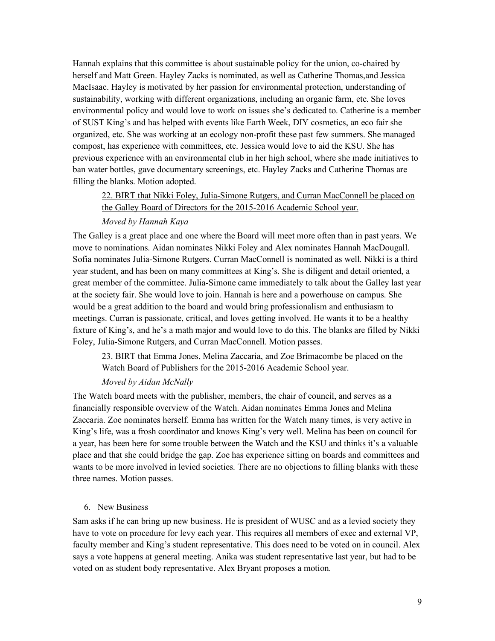Hannah explains that this committee is about sustainable policy for the union, co-chaired by herself and Matt Green. Hayley Zacks is nominated, as well as Catherine Thomas,and Jessica MacIsaac. Hayley is motivated by her passion for environmental protection, understanding of sustainability, working with different organizations, including an organic farm, etc. She loves environmental policy and would love to work on issues she's dedicated to. Catherine is a member of SUST King's and has helped with events like Earth Week, DIY cosmetics, an eco fair she organized, etc. She was working at an ecology non-profit these past few summers. She managed compost, has experience with committees, etc. Jessica would love to aid the KSU. She has previous experience with an environmental club in her high school, where she made initiatives to ban water bottles, gave documentary screenings, etc. Hayley Zacks and Catherine Thomas are filling the blanks. Motion adopted.

# 22. BIRT that Nikki Foley, Julia-Simone Rutgers, and Curran MacConnell be placed on the Galley Board of Directors for the 2015-2016 Academic School year.

#### *Moved by Hannah Kaya*

The Galley is a great place and one where the Board will meet more often than in past years. We move to nominations. Aidan nominates Nikki Foley and Alex nominates Hannah MacDougall. Sofia nominates Julia-Simone Rutgers. Curran MacConnell is nominated as well. Nikki is a third year student, and has been on many committees at King's. She is diligent and detail oriented, a great member of the committee. Julia-Simone came immediately to talk about the Galley last year at the society fair. She would love to join. Hannah is here and a powerhouse on campus. She would be a great addition to the board and would bring professionalism and enthusiasm to meetings. Curran is passionate, critical, and loves getting involved. He wants it to be a healthy fixture of King's, and he's a math major and would love to do this. The blanks are filled by Nikki Foley, Julia-Simone Rutgers, and Curran MacConnell. Motion passes.

23. BIRT that Emma Jones, Melina Zaccaria, and Zoe Brimacombe be placed on the Watch Board of Publishers for the 2015-2016 Academic School year.

#### *Moved by Aidan McNally*

The Watch board meets with the publisher, members, the chair of council, and serves as a financially responsible overview of the Watch. Aidan nominates Emma Jones and Melina Zaccaria. Zoe nominates herself. Emma has written for the Watch many times, is very active in King's life, was a frosh coordinator and knows King's very well. Melina has been on council for a year, has been here for some trouble between the Watch and the KSU and thinks it's a valuable place and that she could bridge the gap. Zoe has experience sitting on boards and committees and wants to be more involved in levied societies. There are no objections to filling blanks with these three names. Motion passes.

#### 6. New Business

Sam asks if he can bring up new business. He is president of WUSC and as a levied society they have to vote on procedure for levy each year. This requires all members of exec and external VP, faculty member and King's student representative. This does need to be voted on in council. Alex says a vote happens at general meeting. Anika was student representative last year, but had to be voted on as student body representative. Alex Bryant proposes a motion.